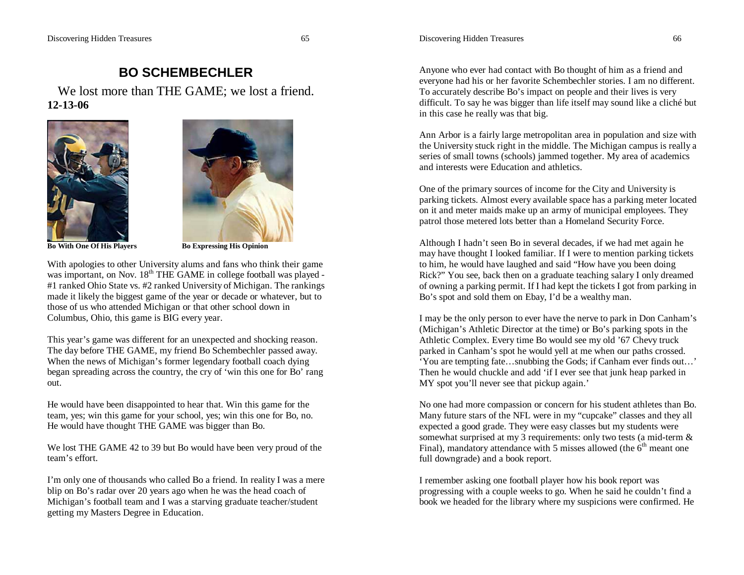## Discovering Hidden Treasures 66

## Discovering Hidden Treasures 65

## **BO SCHEMBECHLER**

We lost more than THE GAME; we lost a friend. **12-13-06**



**Bo With One Of His Players Bo Expressing His Opinion** 



With apologies to other University alums and fans who think their game was important, on Nov. 18<sup>th</sup> THE GAME in college football was played -#1 ranked Ohio State vs. #2 ranked University of Michigan. The rankings made it likely the biggest game of the year or decade or whatever, but to those of us who attended Michigan or that other school down in Columbus, Ohio, this game is BIG every year.

This year's game was different for an unexpected and shocking reason. The day before THE GAME, my friend Bo Schembechler passed away. When the news of Michigan's former legendary football coach dying began spreading across the country, the cry of 'win this one for Bo' rang out.

He would have been disappointed to hear that. Win this game for the team, yes; win this game for your school, yes; win this one for Bo, no. He would have thought THE GAME was bigger than Bo.

We lost THE GAME 42 to 39 but Bo would have been very proud of the team's effort.

I'm only one of thousands who called Bo a friend. In reality I was a mere blip on Bo's radar over 20 years ago when he was the head coach of Michigan's football team and I was a starving graduate teacher/student getting my Masters Degree in Education.

Anyone who ever had contact with Bo thought of him as a friend and everyone had his or her favorite Schembechler stories. I am no different. To accurately describe Bo's impact on people and their lives is very difficult. To say he was bigger than life itself may sound like a cliché but in this case he really was that big.

Ann Arbor is a fairly large metropolitan area in population and size with the University stuck right in the middle. The Michigan campus is really a series of small towns (schools) jammed together. My area of academics and interests were Education and athletics.

One of the primary sources of income for the City and University is parking tickets. Almost every available space has a parking meter located on it and meter maids make up an army of municipal employees. They patrol those metered lots better than a Homeland Security Force.

Although I hadn't seen Bo in several decades, if we had met again he may have thought I looked familiar. If I were to mention parking tickets to him, he would have laughed and said "How have you been doing Rick?" You see, back then on a graduate teaching salary I only dreamed of owning a parking permit. If I had kept the tickets I got from parking in Bo's spot and sold them on Ebay, I'd be a wealthy man.

I may be the only person to ever have the nerve to park in Don Canham's (Michigan's Athletic Director at the time) or Bo's parking spots in the Athletic Complex. Every time Bo would see my old '67 Chevy truck parked in Canham's spot he would yell at me when our paths crossed. 'You are tempting fate…snubbing the Gods; if Canham ever finds out…' Then he would chuckle and add 'if I ever see that junk heap parked in MY spot you'll never see that pickup again.'

No one had more compassion or concern for his student athletes than Bo. Many future stars of the NFL were in my "cupcake" classes and they all expected a good grade. They were easy classes but my students were somewhat surprised at my 3 requirements: only two tests (a mid-term & Final), mandatory attendance with 5 misses allowed (the  $6<sup>th</sup>$  meant one full downgrade) and a book report.

I remember asking one football player how his book report was progressing with a couple weeks to go. When he said he couldn't find a book we headed for the library where my suspicions were confirmed. He